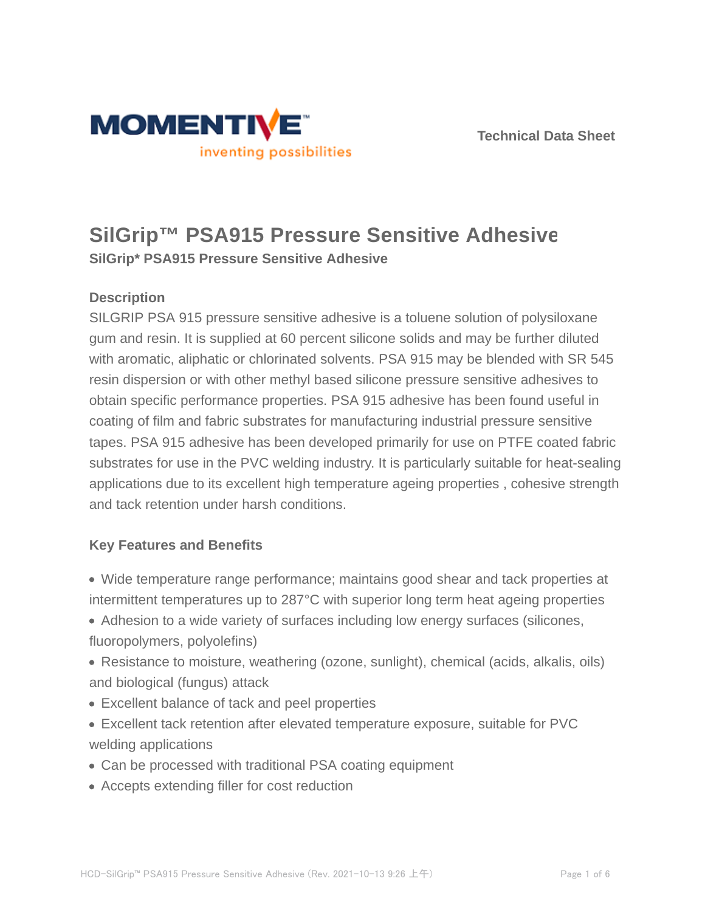

# **SilGrip™ PSA915 Pressure Sensitive Adhesive**

**SilGrip\* PSA915 Pressure Sensitive Adhesive**

## **Description**

SILGRIP PSA 915 pressure sensitive adhesive is a toluene solution of polysiloxane gum and resin. It is supplied at 60 percent silicone solids and may be further diluted with aromatic, aliphatic or chlorinated solvents. PSA 915 may be blended with SR 545 resin dispersion or with other methyl based silicone pressure sensitive adhesives to obtain specific performance properties. PSA 915 adhesive has been found useful in coating of film and fabric substrates for manufacturing industrial pressure sensitive tapes. PSA 915 adhesive has been developed primarily for use on PTFE coated fabric substrates for use in the PVC welding industry. It is particularly suitable for heat-sealing applications due to its excellent high temperature ageing properties , cohesive strength and tack retention under harsh conditions.

## **Key Features and Benefits**

- Wide temperature range performance; maintains good shear and tack properties at intermittent temperatures up to 287°C with superior long term heat ageing properties
- Adhesion to a wide variety of surfaces including low energy surfaces (silicones, fluoropolymers, polyolefins)
- Resistance to moisture, weathering (ozone, sunlight), chemical (acids, alkalis, oils) and biological (fungus) attack
- Excellent balance of tack and peel properties
- Excellent tack retention after elevated temperature exposure, suitable for PVC welding applications
- Can be processed with traditional PSA coating equipment
- Accepts extending filler for cost reduction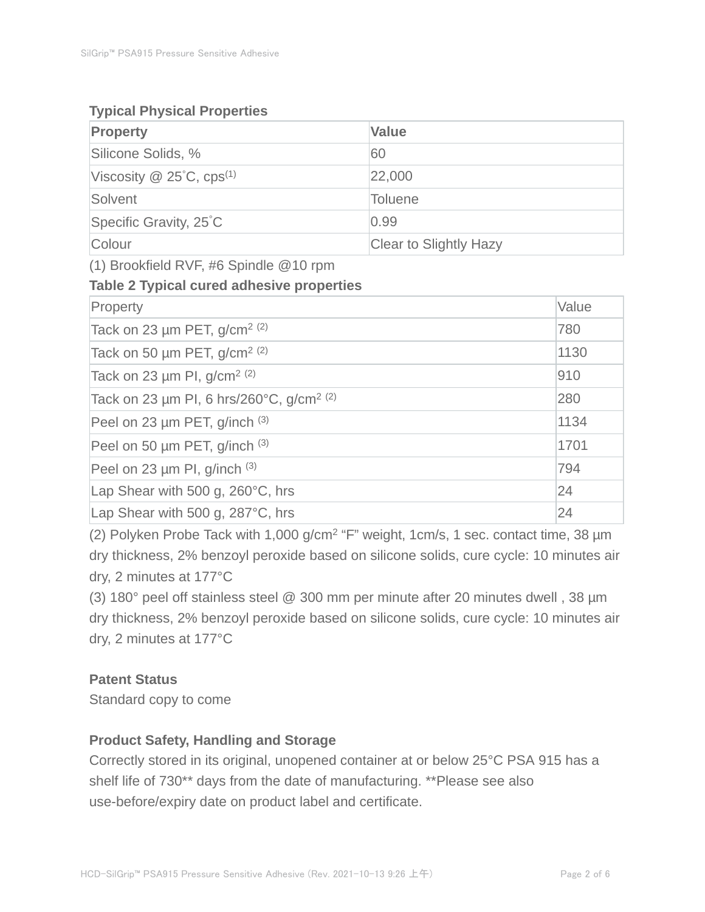## **Typical Physical Properties**

| <b>Property</b>                             | <b>Value</b>           |
|---------------------------------------------|------------------------|
| Silicone Solids, %                          | 60                     |
| Viscosity $\omega$ 25°C, cps <sup>(1)</sup> | 22,000                 |
| Solvent                                     | <b>Toluene</b>         |
| Specific Gravity, 25°C                      | 0.99                   |
| Colour                                      | Clear to Slightly Hazy |

(1) Brookfield RVF, #6 Spindle @10 rpm

## **Table 2 Typical cured adhesive properties**

| Property                                             | Value |
|------------------------------------------------------|-------|
| Tack on 23 $\mu$ m PET, g/cm <sup>2 (2)</sup>        | 780   |
| Tack on 50 $\mu$ m PET, g/cm <sup>2 (2)</sup>        | 1130  |
| Tack on 23 $\mu$ m PI, g/cm <sup>2 (2)</sup>         | 910   |
| Tack on 23 µm PI, 6 hrs/260°C, g/cm <sup>2 (2)</sup> | 280   |
| Peel on 23 µm PET, g/inch (3)                        | 1134  |
| Peel on 50 µm PET, g/inch (3)                        | 1701  |
| Peel on 23 $\mu$ m PI, g/inch $(3)$                  | 794   |
| Lap Shear with 500 g, 260°C, hrs                     | 24    |
| Lap Shear with 500 g, 287°C, hrs                     | 24    |

(2) Polyken Probe Tack with 1,000 g/cm<sup>2</sup> "F" weight, 1cm/s, 1 sec. contact time, 38 µm dry thickness, 2% benzoyl peroxide based on silicone solids, cure cycle: 10 minutes air dry, 2 minutes at 177°C

(3) 180° peel off stainless steel @ 300 mm per minute after 20 minutes dwell , 38 µm dry thickness, 2% benzoyl peroxide based on silicone solids, cure cycle: 10 minutes air dry, 2 minutes at 177°C

## **Patent Status**

Standard copy to come

## **Product Safety, Handling and Storage**

Correctly stored in its original, unopened container at or below 25°C PSA 915 has a shelf life of 730\*\* days from the date of manufacturing. \*\*Please see also use-before/expiry date on product label and certificate.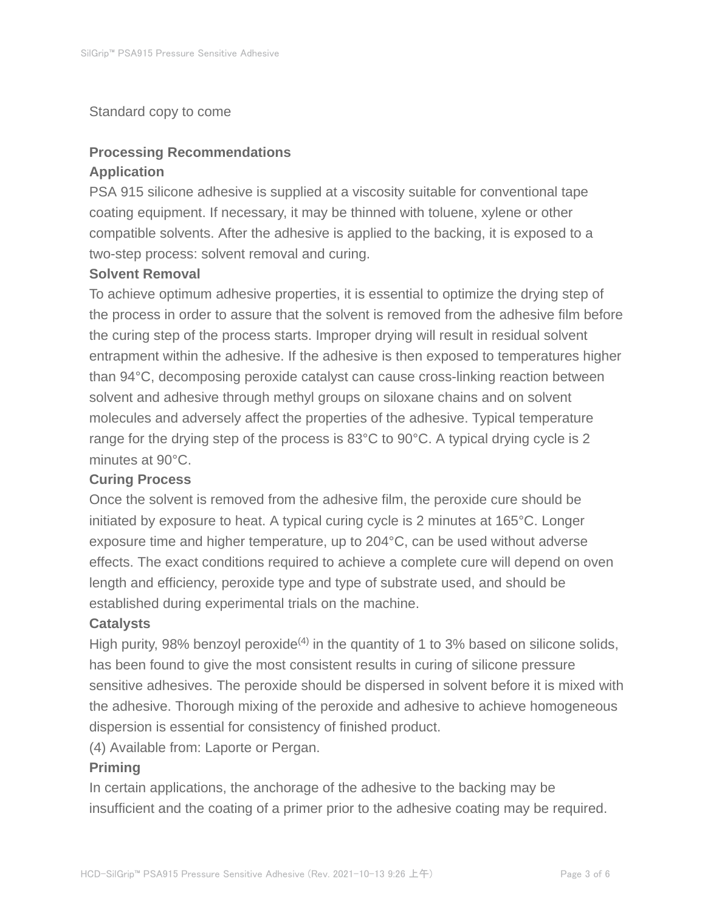#### Standard copy to come

## **Processing Recommendations Application**

PSA 915 silicone adhesive is supplied at a viscosity suitable for conventional tape coating equipment. If necessary, it may be thinned with toluene, xylene or other compatible solvents. After the adhesive is applied to the backing, it is exposed to a two-step process: solvent removal and curing.

#### **Solvent Removal**

To achieve optimum adhesive properties, it is essential to optimize the drying step of the process in order to assure that the solvent is removed from the adhesive film before the curing step of the process starts. Improper drying will result in residual solvent entrapment within the adhesive. If the adhesive is then exposed to temperatures higher than 94°C, decomposing peroxide catalyst can cause cross-linking reaction between solvent and adhesive through methyl groups on siloxane chains and on solvent molecules and adversely affect the properties of the adhesive. Typical temperature range for the drying step of the process is 83°C to 90°C. A typical drying cycle is 2 minutes at 90°C.

#### **Curing Process**

Once the solvent is removed from the adhesive film, the peroxide cure should be initiated by exposure to heat. A typical curing cycle is 2 minutes at 165°C. Longer exposure time and higher temperature, up to 204°C, can be used without adverse effects. The exact conditions required to achieve a complete cure will depend on oven length and efficiency, peroxide type and type of substrate used, and should be established during experimental trials on the machine.

#### **Catalysts**

High purity, 98% benzoyl peroxide<sup>(4)</sup> in the quantity of 1 to 3% based on silicone solids, has been found to give the most consistent results in curing of silicone pressure sensitive adhesives. The peroxide should be dispersed in solvent before it is mixed with the adhesive. Thorough mixing of the peroxide and adhesive to achieve homogeneous dispersion is essential for consistency of finished product.

(4) Available from: Laporte or Pergan.

#### **Priming**

In certain applications, the anchorage of the adhesive to the backing may be insufficient and the coating of a primer prior to the adhesive coating may be required.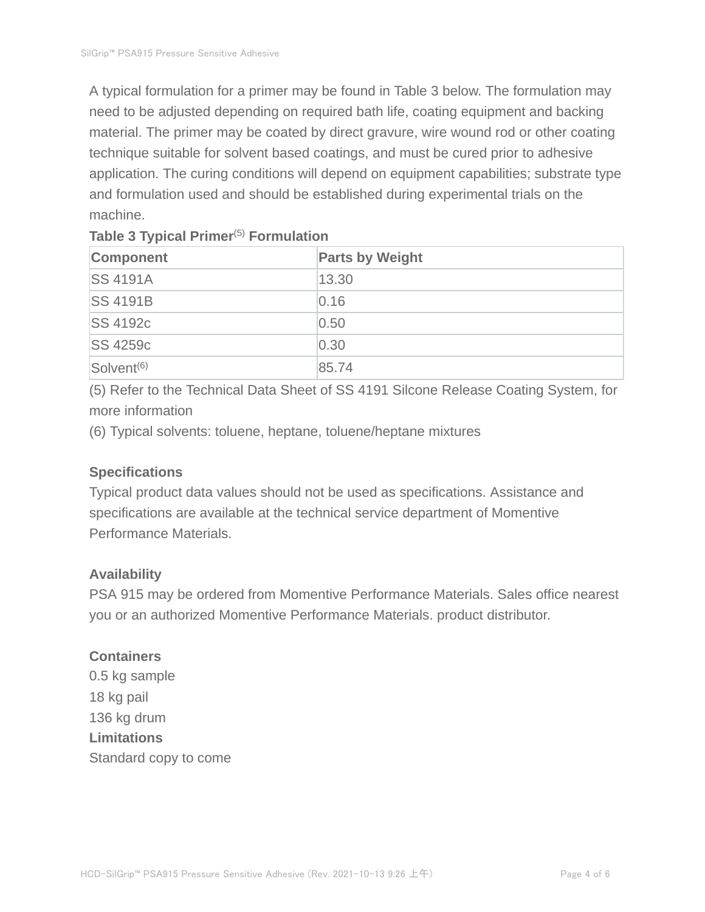A typical formulation for a primer may be found in Table 3 below. The formulation may need to be adjusted depending on required bath life, coating equipment and backing material. The primer may be coated by direct gravure, wire wound rod or other coating technique suitable for solvent based coatings, and must be cured prior to adhesive application. The curing conditions will depend on equipment capabilities; substrate type and formulation used and should be established during experimental trials on the machine.

| Component              | <b>Parts by Weight</b> |
|------------------------|------------------------|
| <b>SS 4191A</b>        | 13.30                  |
| <b>SS 4191B</b>        | 0.16                   |
| <b>SS 4192c</b>        | 0.50                   |
| <b>SS 4259c</b>        | 0.30                   |
| Solvent <sup>(6)</sup> | 85.74                  |

## **Table 3 Typical Primer**(5) **Formulation**

(5) Refer to the Technical Data Sheet of SS 4191 Silcone Release Coating System, for more information

(6) Typical solvents: toluene, heptane, toluene/heptane mixtures

## **Specifications**

Typical product data values should not be used as specifications. Assistance and specifications are available at the technical service department of Momentive Performance Materials.

## **Availability**

PSA 915 may be ordered from Momentive Performance Materials. Sales office nearest you or an authorized Momentive Performance Materials. product distributor.

## **Containers**

0.5 kg sample 18 kg pail 136 kg drum **Limitations** Standard copy to come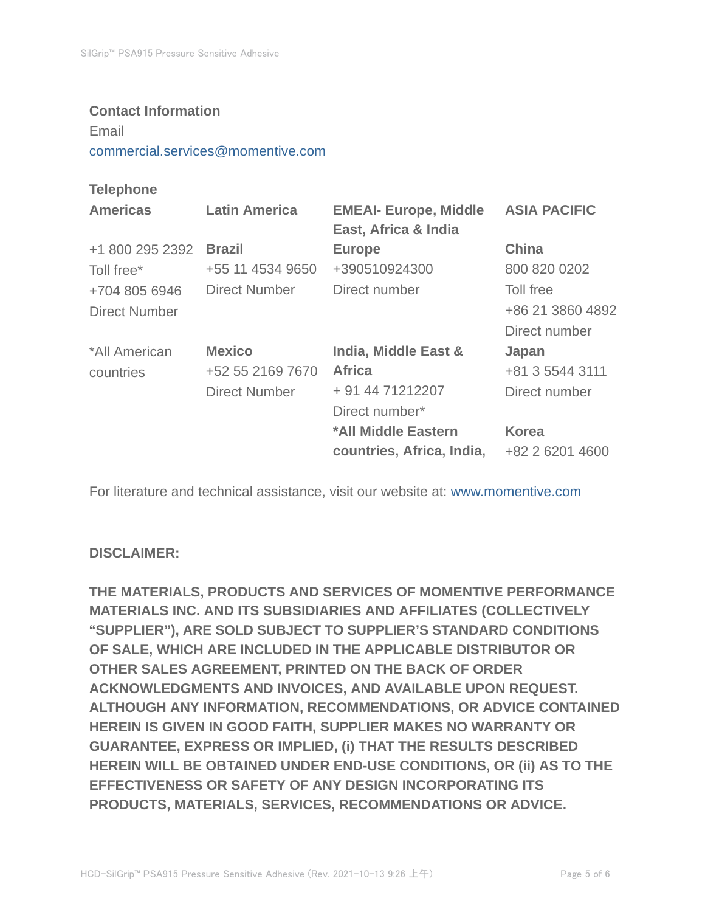#### **Contact Information**

Email

commercial.services@momentive.com

## **Telephone**

| <b>Americas</b> | <b>Latin America</b> | <b>EMEAI- Europe, Middle</b><br>East, Africa & India | <b>ASIA PACIFIC</b> |
|-----------------|----------------------|------------------------------------------------------|---------------------|
| +1 800 295 2392 | <b>Brazil</b>        | <b>Europe</b>                                        | <b>China</b>        |
| Toll free*      | +55 11 4534 9650     | +390510924300                                        | 800 820 0202        |
| +704 805 6946   | Direct Number        | Direct number                                        | Toll free           |
| Direct Number   |                      |                                                      | +86 21 3860 4892    |
|                 |                      |                                                      | Direct number       |
| *All American   | <b>Mexico</b>        | India, Middle East &                                 | Japan               |
| countries       | +52 55 2169 7670     | <b>Africa</b>                                        | +81 3 5544 3111     |
|                 | <b>Direct Number</b> | + 91 44 71212207                                     | Direct number       |
|                 |                      | Direct number*                                       |                     |
|                 |                      | *All Middle Eastern                                  | <b>Korea</b>        |
|                 |                      | countries, Africa, India,                            | +82 2 6201 4600     |

For literature and technical assistance, visit our website at: www.momentive.com

## **DISCLAIMER:**

**THE MATERIALS, PRODUCTS AND SERVICES OF MOMENTIVE PERFORMANCE MATERIALS INC. AND ITS SUBSIDIARIES AND AFFILIATES (COLLECTIVELY "SUPPLIER"), ARE SOLD SUBJECT TO SUPPLIER'S STANDARD CONDITIONS OF SALE, WHICH ARE INCLUDED IN THE APPLICABLE DISTRIBUTOR OR OTHER SALES AGREEMENT, PRINTED ON THE BACK OF ORDER ACKNOWLEDGMENTS AND INVOICES, AND AVAILABLE UPON REQUEST. ALTHOUGH ANY INFORMATION, RECOMMENDATIONS, OR ADVICE CONTAINED HEREIN IS GIVEN IN GOOD FAITH, SUPPLIER MAKES NO WARRANTY OR GUARANTEE, EXPRESS OR IMPLIED, (i) THAT THE RESULTS DESCRIBED HEREIN WILL BE OBTAINED UNDER END-USE CONDITIONS, OR (ii) AS TO THE EFFECTIVENESS OR SAFETY OF ANY DESIGN INCORPORATING ITS PRODUCTS, MATERIALS, SERVICES, RECOMMENDATIONS OR ADVICE.**